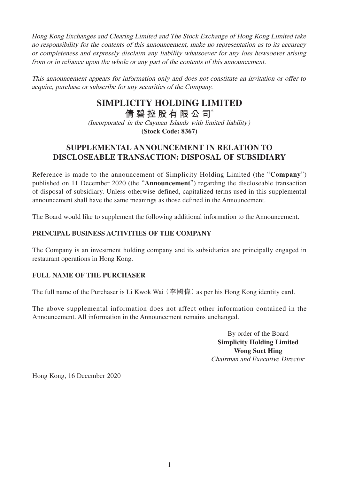Hong Kong Exchanges and Clearing Limited and The Stock Exchange of Hong Kong Limited take no responsibility for the contents of this announcement, make no representation as to its accuracy or completeness and expressly disclaim any liability whatsoever for any loss howsoever arising from or in reliance upon the whole or any part of the contents of this announcement.

This announcement appears for information only and does not constitute an invitation or offer to acquire, purchase or subscribe for any securities of the Company.

## **SIMPLICITY HOLDING LIMITED**

**倩碧控股有限公 司**\*

(Incorporated in the Cayman Islands with limited liability) **(Stock Code: 8367)**

## **SUPPLEMENTAL ANNOUNCEMENT IN RELATION TO DISCLOSEABLE TRANSACTION: DISPOSAL OF SUBSIDIARY**

Reference is made to the announcement of Simplicity Holding Limited (the "**Company**") published on 11 December 2020 (the "**Announcement**") regarding the discloseable transaction of disposal of subsidiary. Unless otherwise defined, capitalized terms used in this supplemental announcement shall have the same meanings as those defined in the Announcement.

The Board would like to supplement the following additional information to the Announcement.

## **PRINCIPAL BUSINESS ACTIVITIES OF THE COMPANY**

The Company is an investment holding company and its subsidiaries are principally engaged in restaurant operations in Hong Kong.

## **FULL NAME OF THE PURCHASER**

The full name of the Purchaser is Li Kwok Wai ( $\hat{\mathcal{F}}$   $\hat{\mathbb{E}}$ ) as per his Hong Kong identity card.

The above supplemental information does not affect other information contained in the Announcement. All information in the Announcement remains unchanged.

> By order of the Board **Simplicity Holding Limited Wong Suet Hing** Chairman and Executive Director

Hong Kong, 16 December 2020